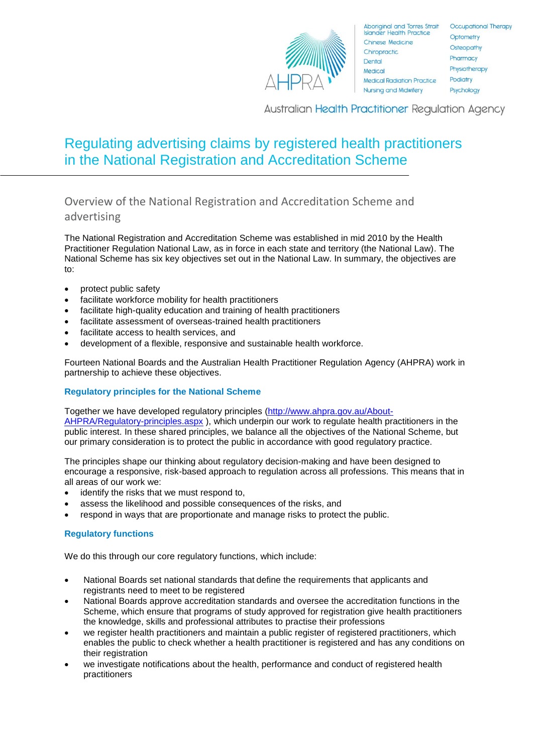

**Australian Health Practitioner Regulation Agency** 

# Regulating advertising claims by registered health practitioners in the National Registration and Accreditation Scheme

Overview of the National Registration and Accreditation Scheme and advertising

The National Registration and Accreditation Scheme was established in mid 2010 by the Health Practitioner Regulation National Law, as in force in each state and territory (the National Law). The National Scheme has six key objectives set out in the National Law. In summary, the objectives are to:

- protect public safety
- facilitate workforce mobility for health practitioners
- facilitate high-quality education and training of health practitioners
- facilitate assessment of overseas-trained health practitioners
- facilitate access to health services, and
- development of a flexible, responsive and sustainable health workforce.

Fourteen National Boards and the Australian Health Practitioner Regulation Agency (AHPRA) work in partnership to achieve these objectives.

# **Regulatory principles for the National Scheme**

Together we have developed regulatory principles [\(http://www.ahpra.gov.au/About-](http://www.ahpra.gov.au/About-AHPRA/Regulatory-principles.aspx)[AHPRA/Regulatory-principles.aspx](http://www.ahpra.gov.au/About-AHPRA/Regulatory-principles.aspx) ), which underpin our work to regulate health practitioners in the public interest. In these shared principles, we balance all the objectives of the National Scheme, but our primary consideration is to protect the public in accordance with good regulatory practice.

The principles shape our thinking about regulatory decision-making and have been designed to encourage a responsive, risk-based approach to regulation across all professions. This means that in all areas of our work we:

- identify the risks that we must respond to,
- assess the likelihood and possible consequences of the risks, and
- respond in ways that are proportionate and manage risks to protect the public.

# **Regulatory functions**

We do this through our core regulatory functions, which include:

- National Boards set national standards that define the requirements that applicants and registrants need to meet to be registered
- National Boards approve accreditation standards and oversee the accreditation functions in the Scheme, which ensure that programs of study approved for registration give health practitioners the knowledge, skills and professional attributes to practise their professions
- we register health practitioners and maintain a public register of registered practitioners, which enables the public to check whether a health practitioner is registered and has any conditions on their registration
- we investigate notifications about the health, performance and conduct of registered health practitioners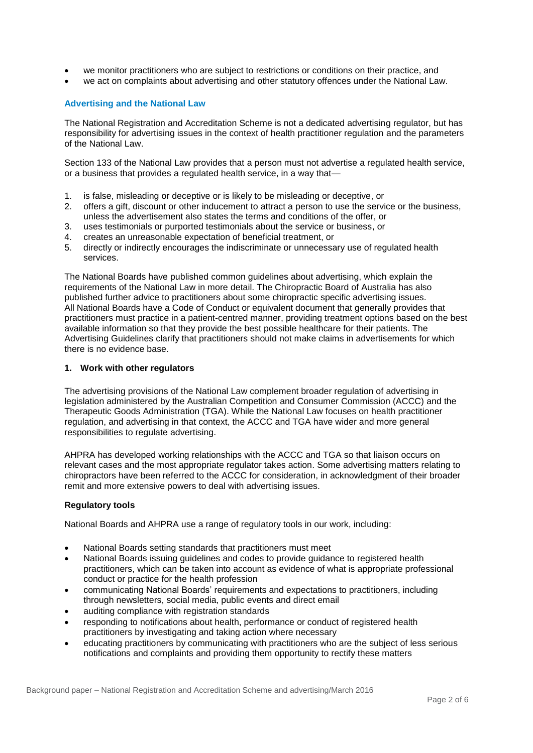- we monitor practitioners who are subject to restrictions or conditions on their practice, and
- we act on complaints about advertising and other statutory offences under the National Law.

# **Advertising and the National Law**

The National Registration and Accreditation Scheme is not a dedicated advertising regulator, but has responsibility for advertising issues in the context of health practitioner regulation and the parameters of the National Law.

Section 133 of the National Law provides that a person must not advertise a regulated health service, or a business that provides a regulated health service, in a way that—

- 1. is false, misleading or deceptive or is likely to be misleading or deceptive, or
- 2. offers a gift, discount or other inducement to attract a person to use the service or the business, unless the advertisement also states the terms and conditions of the offer, or
- 3. uses testimonials or purported testimonials about the service or business, or
- 4. creates an unreasonable expectation of beneficial treatment, or
- 5. directly or indirectly encourages the indiscriminate or unnecessary use of regulated health services.

The National Boards have published common guidelines about advertising, which explain the requirements of the National Law in more detail. The Chiropractic Board of Australia has also published further advice to practitioners about some chiropractic specific advertising issues. All National Boards have a Code of Conduct or equivalent document that generally provides that practitioners must practice in a patient-centred manner, providing treatment options based on the best available information so that they provide the best possible healthcare for their patients. The Advertising Guidelines clarify that practitioners should not make claims in advertisements for which there is no evidence base.

## **1. Work with other regulators**

The advertising provisions of the National Law complement broader regulation of advertising in legislation administered by the Australian Competition and Consumer Commission (ACCC) and the Therapeutic Goods Administration (TGA). While the National Law focuses on health practitioner regulation, and advertising in that context, the ACCC and TGA have wider and more general responsibilities to regulate advertising.

AHPRA has developed working relationships with the ACCC and TGA so that liaison occurs on relevant cases and the most appropriate regulator takes action. Some advertising matters relating to chiropractors have been referred to the ACCC for consideration, in acknowledgment of their broader remit and more extensive powers to deal with advertising issues.

## **Regulatory tools**

National Boards and AHPRA use a range of regulatory tools in our work, including:

- National Boards setting standards that practitioners must meet
- National Boards issuing guidelines and codes to provide guidance to registered health practitioners, which can be taken into account as evidence of what is appropriate professional conduct or practice for the health profession
- communicating National Boards' requirements and expectations to practitioners, including through newsletters, social media, public events and direct email
- auditing compliance with registration standards
- responding to notifications about health, performance or conduct of registered health practitioners by investigating and taking action where necessary
- educating practitioners by communicating with practitioners who are the subject of less serious notifications and complaints and providing them opportunity to rectify these matters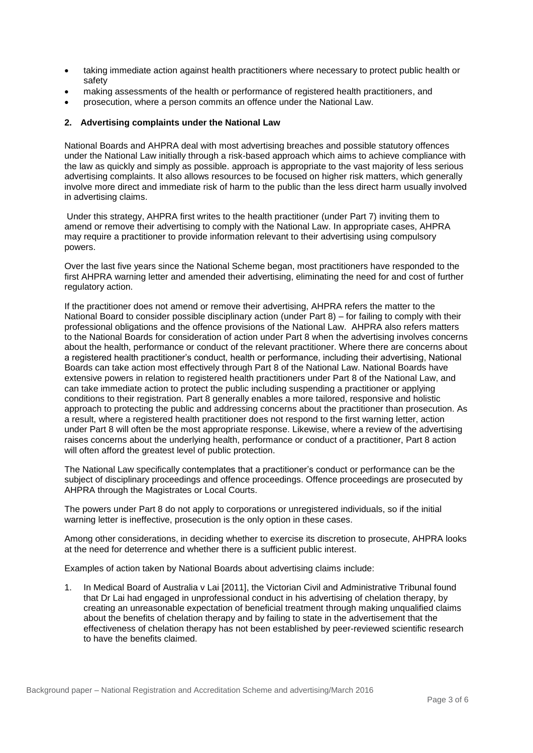- taking immediate action against health practitioners where necessary to protect public health or safety
- making assessments of the health or performance of registered health practitioners, and
- prosecution, where a person commits an offence under the National Law.

## **2. Advertising complaints under the National Law**

National Boards and AHPRA deal with most advertising breaches and possible statutory offences under the National Law initially through a risk-based approach which aims to achieve compliance with the law as quickly and simply as possible. approach is appropriate to the vast majority of less serious advertising complaints. It also allows resources to be focused on higher risk matters, which generally involve more direct and immediate risk of harm to the public than the less direct harm usually involved in advertising claims.

Under this strategy, AHPRA first writes to the health practitioner (under Part 7) inviting them to amend or remove their advertising to comply with the National Law. In appropriate cases, AHPRA may require a practitioner to provide information relevant to their advertising using compulsory powers.

Over the last five years since the National Scheme began, most practitioners have responded to the first AHPRA warning letter and amended their advertising, eliminating the need for and cost of further regulatory action.

If the practitioner does not amend or remove their advertising, AHPRA refers the matter to the National Board to consider possible disciplinary action (under Part 8) – for failing to comply with their professional obligations and the offence provisions of the National Law. AHPRA also refers matters to the National Boards for consideration of action under Part 8 when the advertising involves concerns about the health, performance or conduct of the relevant practitioner. Where there are concerns about a registered health practitioner's conduct, health or performance, including their advertising, National Boards can take action most effectively through Part 8 of the National Law. National Boards have extensive powers in relation to registered health practitioners under Part 8 of the National Law, and can take immediate action to protect the public including suspending a practitioner or applying conditions to their registration. Part 8 generally enables a more tailored, responsive and holistic approach to protecting the public and addressing concerns about the practitioner than prosecution. As a result, where a registered health practitioner does not respond to the first warning letter, action under Part 8 will often be the most appropriate response. Likewise, where a review of the advertising raises concerns about the underlying health, performance or conduct of a practitioner, Part 8 action will often afford the greatest level of public protection.

The National Law specifically contemplates that a practitioner's conduct or performance can be the subject of disciplinary proceedings and offence proceedings. Offence proceedings are prosecuted by AHPRA through the Magistrates or Local Courts.

The powers under Part 8 do not apply to corporations or unregistered individuals, so if the initial warning letter is ineffective, prosecution is the only option in these cases.

Among other considerations, in deciding whether to exercise its discretion to prosecute, AHPRA looks at the need for deterrence and whether there is a sufficient public interest.

Examples of action taken by National Boards about advertising claims include:

1. In Medical Board of Australia v Lai [2011], the Victorian Civil and Administrative Tribunal found that Dr Lai had engaged in unprofessional conduct in his advertising of chelation therapy, by creating an unreasonable expectation of beneficial treatment through making unqualified claims about the benefits of chelation therapy and by failing to state in the advertisement that the effectiveness of chelation therapy has not been established by peer-reviewed scientific research to have the benefits claimed.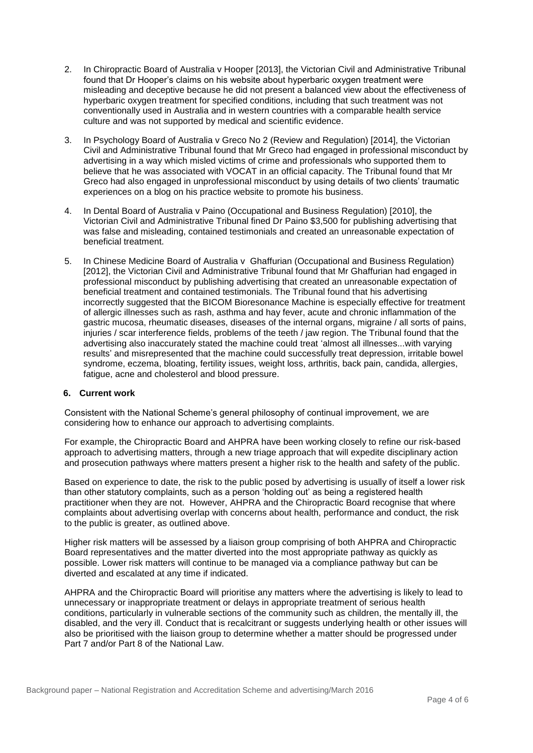- 2. In Chiropractic Board of Australia v Hooper [2013], the Victorian Civil and Administrative Tribunal found that Dr Hooper's claims on his website about hyperbaric oxygen treatment were misleading and deceptive because he did not present a balanced view about the effectiveness of hyperbaric oxygen treatment for specified conditions, including that such treatment was not conventionally used in Australia and in western countries with a comparable health service culture and was not supported by medical and scientific evidence.
- 3. In Psychology Board of Australia v Greco No 2 (Review and Regulation) [2014], the Victorian Civil and Administrative Tribunal found that Mr Greco had engaged in professional misconduct by advertising in a way which misled victims of crime and professionals who supported them to believe that he was associated with VOCAT in an official capacity. The Tribunal found that Mr Greco had also engaged in unprofessional misconduct by using details of two clients' traumatic experiences on a blog on his practice website to promote his business.
- 4. In Dental Board of Australia v Paino (Occupational and Business Regulation) [2010], the Victorian Civil and Administrative Tribunal fined Dr Paino \$3,500 for publishing advertising that was false and misleading, contained testimonials and created an unreasonable expectation of beneficial treatment.
- 5. In Chinese Medicine Board of Australia v Ghaffurian (Occupational and Business Regulation) [2012], the Victorian Civil and Administrative Tribunal found that Mr Ghaffurian had engaged in professional misconduct by publishing advertising that created an unreasonable expectation of beneficial treatment and contained testimonials. The Tribunal found that his advertising incorrectly suggested that the BICOM Bioresonance Machine is especially effective for treatment of allergic illnesses such as rash, asthma and hay fever, acute and chronic inflammation of the gastric mucosa, rheumatic diseases, diseases of the internal organs, migraine / all sorts of pains, injuries / scar interference fields, problems of the teeth / jaw region. The Tribunal found that the advertising also inaccurately stated the machine could treat 'almost all illnesses...with varying results' and misrepresented that the machine could successfully treat depression, irritable bowel syndrome, eczema, bloating, fertility issues, weight loss, arthritis, back pain, candida, allergies, fatigue, acne and cholesterol and blood pressure.

## **6. Current work**

Consistent with the National Scheme's general philosophy of continual improvement, we are considering how to enhance our approach to advertising complaints.

For example, the Chiropractic Board and AHPRA have been working closely to refine our risk-based approach to advertising matters, through a new triage approach that will expedite disciplinary action and prosecution pathways where matters present a higher risk to the health and safety of the public.

Based on experience to date, the risk to the public posed by advertising is usually of itself a lower risk than other statutory complaints, such as a person 'holding out' as being a registered health practitioner when they are not. However, AHPRA and the Chiropractic Board recognise that where complaints about advertising overlap with concerns about health, performance and conduct, the risk to the public is greater, as outlined above.

Higher risk matters will be assessed by a liaison group comprising of both AHPRA and Chiropractic Board representatives and the matter diverted into the most appropriate pathway as quickly as possible. Lower risk matters will continue to be managed via a compliance pathway but can be diverted and escalated at any time if indicated.

AHPRA and the Chiropractic Board will prioritise any matters where the advertising is likely to lead to unnecessary or inappropriate treatment or delays in appropriate treatment of serious health conditions, particularly in vulnerable sections of the community such as children, the mentally ill, the disabled, and the very ill. Conduct that is recalcitrant or suggests underlying health or other issues will also be prioritised with the liaison group to determine whether a matter should be progressed under Part 7 and/or Part 8 of the National Law.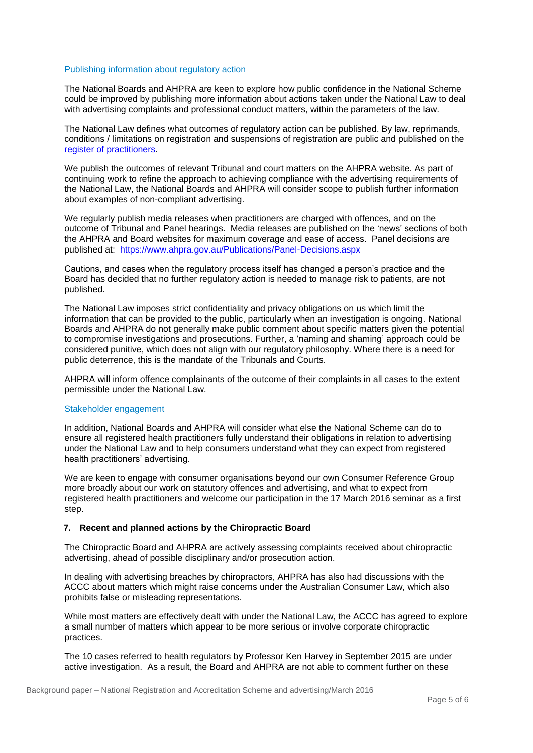#### Publishing information about regulatory action

The National Boards and AHPRA are keen to explore how public confidence in the National Scheme could be improved by publishing more information about actions taken under the National Law to deal with advertising complaints and professional conduct matters, within the parameters of the law.

The National Law defines what outcomes of regulatory action can be published. By law, reprimands, conditions / limitations on registration and suspensions of registration are public and published on the [register of practitioners.](http://www.ahpra.gov.au/Registration/Registers-of-Practitioners.aspx)

We publish the outcomes of relevant Tribunal and court matters on the AHPRA website. As part of continuing work to refine the approach to achieving compliance with the advertising requirements of the National Law, the National Boards and AHPRA will consider scope to publish further information about examples of non-compliant advertising.

We regularly publish media releases when practitioners are charged with offences, and on the outcome of Tribunal and Panel hearings. Media releases are published on the 'news' sections of both the AHPRA and Board websites for maximum coverage and ease of access. Panel decisions are published at: <https://www.ahpra.gov.au/Publications/Panel-Decisions.aspx>

Cautions, and cases when the regulatory process itself has changed a person's practice and the Board has decided that no further regulatory action is needed to manage risk to patients, are not published.

The National Law imposes strict confidentiality and privacy obligations on us which limit the information that can be provided to the public, particularly when an investigation is ongoing. National Boards and AHPRA do not generally make public comment about specific matters given the potential to compromise investigations and prosecutions. Further, a 'naming and shaming' approach could be considered punitive, which does not align with our regulatory philosophy. Where there is a need for public deterrence, this is the mandate of the Tribunals and Courts.

AHPRA will inform offence complainants of the outcome of their complaints in all cases to the extent permissible under the National Law.

#### Stakeholder engagement

In addition, National Boards and AHPRA will consider what else the National Scheme can do to ensure all registered health practitioners fully understand their obligations in relation to advertising under the National Law and to help consumers understand what they can expect from registered health practitioners' advertising.

We are keen to engage with consumer organisations beyond our own Consumer Reference Group more broadly about our work on statutory offences and advertising, and what to expect from registered health practitioners and welcome our participation in the 17 March 2016 seminar as a first step.

## **7. Recent and planned actions by the Chiropractic Board**

The Chiropractic Board and AHPRA are actively assessing complaints received about chiropractic advertising, ahead of possible disciplinary and/or prosecution action.

In dealing with advertising breaches by chiropractors, AHPRA has also had discussions with the ACCC about matters which might raise concerns under the Australian Consumer Law, which also prohibits false or misleading representations.

While most matters are effectively dealt with under the National Law, the ACCC has agreed to explore a small number of matters which appear to be more serious or involve corporate chiropractic practices.

The 10 cases referred to health regulators by Professor Ken Harvey in September 2015 are under active investigation. As a result, the Board and AHPRA are not able to comment further on these